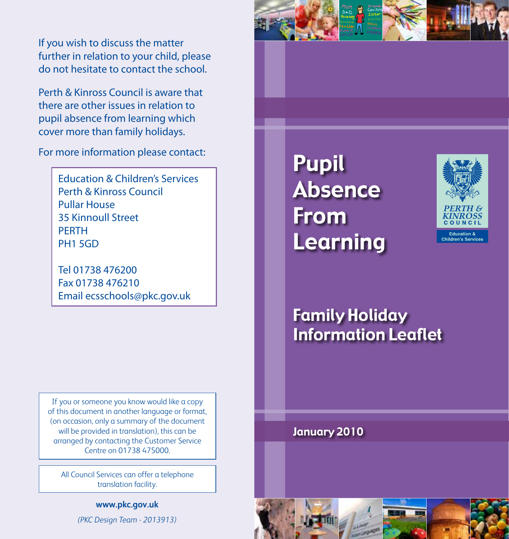If you wish to discuss the matter further in relation to your child, please do not hesitate to contact the school.

Perth & Kinross Council is aware that there are other issues in relation to pupil absence from learning which cover more than family holidays.

For more information please contact:

Education & Children's Services Perth & Kinross Council Pullar House 35 Kinnoull Street **PFRTH** PH1 5GD

Tel 01738 476200 Fax 01738 476210 Email ecsschools@pkc.gov.uk

If you or someone you know would like a copy of this document in another language or format, (on occasion, only a summary of the document will be provided in translation), this can be arranged by contacting the Customer Service Centre on 01738 475000.

All Council Services can offer a telephone translation facility.

> **www.pkc.gov.uk** *(PKC Design Team - 2013913)*





## Family Holiday Information Leaflet

January 2010